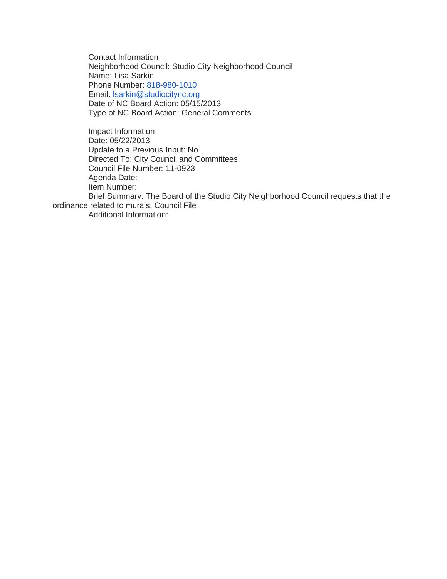Contact Information Neighborhood Council: Studio City Neighborhood Council Name: Lisa Sarkin Phone Number: [818-980-1010](tel:818-980-1010) Email: [lsarkin@studiocitync.org](mailto:lsarkin@studiocitync.org) Date of NC Board Action: 05/15/2013 Type of NC Board Action: General Comments

Impact Information Date: 05/22/2013 Update to a Previous Input: No Directed To: City Council and Committees Council File Number: 11-0923 Agenda Date: Item Number: Brief Summary: The Board of the Studio City Neighborhood Council requests that the ordinance related to murals, Council File Additional Information: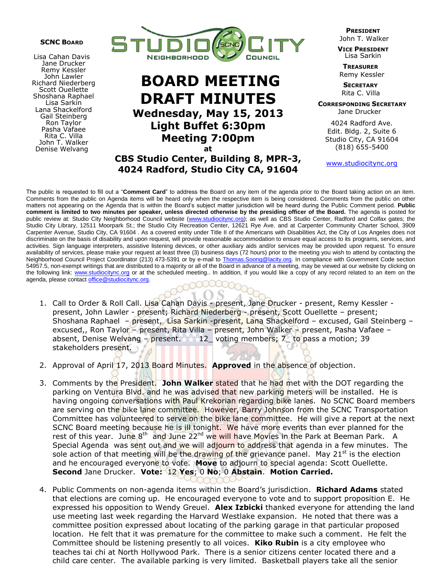

Lisa Cahan Davis Jane Drucker Remy Kessler John Lawler Richard Niederberg Scott Ouellette Shoshana Raphael Lisa Sarkin Lana Shackelford Gail Steinberg Ron Taylor Pasha Vafaee Rita C. Villa John T. Walker Denise Welvang



## **BOARD MEETING DRAFT MINUTES Wednesday, May 15, 2013 Light Buffet 6:30pm Meeting 7:00pm at**

**CBS Studio Center, Building 8, MPR-3, 4024 Radford, Studio City CA, 91604**

 **PRESIDENT** John T. Walker

 **VICE PRESIDENT** Lisa Sarkin

**TREASURER** Remy Kessler

**SECRETARY** Rita C. Villa

 **CORRESPONDING SECRETARY** Jane Drucker

 4024 Radford Ave. Edit. Bldg. 2, Suite 6 Studio City, CA 91604 (818) 655-5400

www.studiocitync.org

The public is requested to fill out a "**Comment Card**" to address the Board on any item of the agenda prior to the Board taking action on an item. Comments from the public on Agenda items will be heard only when the respective item is being considered. Comments from the public on other matters not appearing on the Agenda that is within the Board's subject matter jurisdiction will be heard during the Public Comment period. **Public comment is limited to two minutes per speaker, unless directed otherwise by the presiding officer of the Board.** The agenda is posted for public review at: Studio City Neighborhood Council website (www.studiocitync.org); as well as CBS Studio Center, Radford and Colfax gates; the Studio City Library, 12511 Moorpark St.; the Studio City Recreation Center, 12621 Rye Ave. and at Carpenter Community Charter School, 3909 Carpenter Avenue, Studio City, CA 91604 . As a covered entity under Title II of the Americans with Disabilities Act, the City of Los Angeles does not discriminate on the basis of disability and upon request, will provide reasonable accommodation to ensure equal access to its programs, services, and activities. Sign language interpreters, assistive listening devices, or other auxiliary aids and/or services may be provided upon request. To ensure availability of services, please make your request at least three (3) business days (72 hours) prior to the meeting you wish to attend by contacting the Neighborhood Council Project Coordinator (213) 473-5391 or by e-mail to Thomas. Soong@lacity.org. In compliance with Government Code section 54957.5, non-exempt writings that are distributed to a majority or all of the Board in advance of a meeting, may be viewed at our website by clicking on the following link: www.studiocitync.org or at the scheduled meeting.. In addition, if you would like a copy of any record related to an item on the agenda, please contact office@studiocitync.org.

- 1. Call to Order & Roll Call. Lisa Cahan Davis present, Jane Drucker present, Remy Kessler present, John Lawler - present; Richard Niederberg - present, Scott Ouellette - present; Shoshana Raphael – present, Lisa Sarkin -present, Lana Shackelford – excused, Gail Steinberg – excused,, Ron Taylor – present, Rita Villa – present, John Walker – present, Pasha Vafaee – absent, Denise Welvang – present. 12 voting members; 7 to pass a motion; 39 stakeholders present.
- 2. Approval of April 17, 2013 Board Minutes. **Approved** in the absence of objection.
- 3. Comments by the President. **John Walker** stated that he had met with the DOT regarding the parking on Ventura Blvd. and he was advised that new parking meters will be installed. He is having ongoing conversations with Paul Krekorian regarding bike lanes. No SCNC Board members are serving on the bike lane committee. However, Barry Johnson from the SCNC Transportation Committee has volunteered to serve on the bike lane committee. He will give a report at the next SCNC Board meeting because he is ill tonight. We have more events than ever planned for the rest of this year. June 8<sup>th</sup> and June 22<sup>nd</sup> we will have Movies in the Park at Beeman Park. A Special Agenda was sent out and we will adjourn to address that agenda in a few minutes. The sole action of that meeting will be the drawing of the grievance panel. May  $21<sup>st</sup>$  is the election and he encouraged everyone to vote. **Move** to adjourn to special agenda: Scott Ouellette. **Second** Jane Drucker. **Vote:** 12 **Yes**; 0 **No**; 0 **Abstain**. **Motion Carried.**
- 4. Public Comments on non-agenda items within the Board's jurisdiction. **Richard Adams** stated that elections are coming up. He encouraged everyone to vote and to support proposition E. He expressed his opposition to Wendy Greuel. **Alex Izbicki** thanked everyone for attending the land use meeting last week regarding the Harvard Westlake expansion. He noted that there was a committee position expressed about locating of the parking garage in that particular proposed location. He felt that it was premature for the committee to make such a comment. He felt the Committee should be listening presently to all voices. **Kiko Rubin** is a city employee who teaches tai chi at North Hollywood Park. There is a senior citizens center located there and a child care center. The available parking is very limited. Basketball players take all the senior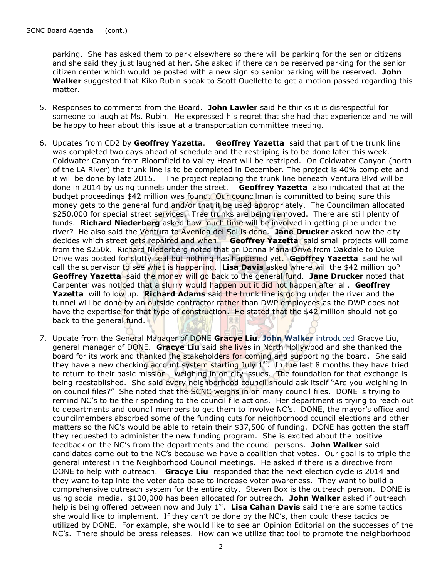parking. She has asked them to park elsewhere so there will be parking for the senior citizens and she said they just laughed at her. She asked if there can be reserved parking for the senior citizen center which would be posted with a new sign so senior parking will be reserved. **John Walker** suggested that Kiko Rubin speak to Scott Ouellette to get a motion passed regarding this matter.

- 5. Responses to comments from the Board. **John Lawler** said he thinks it is disrespectful for someone to laugh at Ms. Rubin. He expressed his regret that she had that experience and he will be happy to hear about this issue at a transportation committee meeting.
- 6. Updates from CD2 by **Geoffrey Yazetta**. **Geoffrey Yazetta** said that part of the trunk line was completed two days ahead of schedule and the restriping is to be done later this week. Coldwater Canyon from Bloomfield to Valley Heart will be restriped. On Coldwater Canyon (north of the LA River) the trunk line is to be completed in December. The project is 40% complete and it will be done by late 2015. The project replacing the trunk line beneath Ventura Blvd will be done in 2014 by using tunnels under the street. **Geoffrey Yazetta** also indicated that at the budget proceedings \$42 million was found. Our councilman is committed to being sure this money gets to the general fund and/or that it be used appropriately. The Councilman allocated \$250,000 for special street services. Tree trunks are being removed. There are still plenty of funds. **Richard Niederberg** asked how much time will be involved in getting pipe under the river? He also said the Ventura to Avenida del Sol is done. **Jane Drucker** asked how the city decides which street gets repaired and when. **Geoffrey Yazetta** said small projects will come from the \$250k. Richard Niederberg noted that on Donna Maria Drive from Oakdale to Duke Drive was posted for slutty seal but nothing has happened yet. **Geoffrey Yazetta** said he will call the supervisor to see what is happening. **Lisa Davis** asked where will the \$42 million go? **Geoffrey Yazetta** said the money will go back to the general fund. **Jane Drucker** noted that Carpenter was noticed that a slurry would happen but it did not happen after all. **Geoffrey Yazetta** will follow up. **Richard Adams** said the trunk line is going under the river and the tunnel will be done by an outside contractor rather than DWP employees as the DWP does not have the expertise for that type of construction. He stated that the \$42 million should not go back to the general fund.
- 7. Update from the General Manager of DONE **Gracye Liu**. **John Walker** introduced Gracye Liu, general manager of DONE. **Gracye Liu** said she lives in North Hollywood and she thanked the board for its work and thanked the stakeholders for coming and supporting the board. She said they have a new checking account system starting July 1<sup>st</sup>. In the last 8 months they have tried to return to their basic mission - weighing in on city issues. The foundation for that exchange is being reestablished. She said every neighborhood council should ask itself "Are you weighing in on council files?" She noted that the SCNC weighs in on many council files. DONE is trying to remind NC's to tie their spending to the council file actions. Her department is trying to reach out to departments and council members to get them to involve NC's. DONE, the mayor's office and councilmembers absorbed some of the funding cuts for neighborhood council elections and other matters so the NC's would be able to retain their \$37,500 of funding. DONE has gotten the staff they requested to administer the new funding program. She is excited about the positive feedback on the NC's from the departments and the council persons. **John Walker** said candidates come out to the NC's because we have a coalition that votes. Our goal is to triple the general interest in the Neighborhood Council meetings. He asked if there is a directive from DONE to help with outreach. **Gracye Liu** responded that the next election cycle is 2014 and they want to tap into the voter data base to increase voter awareness. They want to build a comprehensive outreach system for the entire city. Steven Box is the outreach person. DONE is using social media. \$100,000 has been allocated for outreach. **John Walker** asked if outreach help is being offered between now and July 1<sup>st</sup>. Lisa Cahan Davis said there are some tactics she would like to implement. If they can't be done by the NC's, then could these tactics be utilized by DONE. For example, she would like to see an Opinion Editorial on the successes of the NC's. There should be press releases. How can we utilize that tool to promote the neighborhood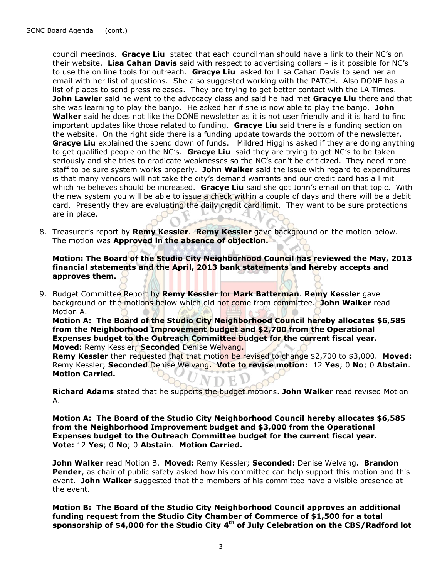council meetings. **Gracye Liu** stated that each councilman should have a link to their NC's on their website. **Lisa Cahan Davis** said with respect to advertising dollars – is it possible for NC's to use the on line tools for outreach. **Gracye Liu** asked for Lisa Cahan Davis to send her an email with her list of questions. She also suggested working with the PATCH. Also DONE has a list of places to send press releases. They are trying to get better contact with the LA Times. **John Lawler** said he went to the advocacy class and said he had met **Gracye Liu** there and that she was learning to play the banjo. He asked her if she is now able to play the banjo. **John Walker** said he does not like the DONE newsletter as it is not user friendly and it is hard to find important updates like those related to funding. **Gracye Liu** said there is a funding section on the website. On the right side there is a funding update towards the bottom of the newsletter. **Gracye Liu** explained the spend down of funds. Mildred Higgins asked if they are doing anything to get qualified people on the NC's. **Gracye Liu** said they are trying to get NC's to be taken seriously and she tries to eradicate weaknesses so the NC's can't be criticized. They need more staff to be sure system works properly. **John Walker** said the issue with regard to expenditures is that many vendors will not take the city's demand warrants and our credit card has a limit which he believes should be increased. **Gracye Liu** said she got John's email on that topic. With the new system you will be able to issue a check within a couple of days and there will be a debit card. Presently they are evaluating the daily credit card limit. They want to be sure protections L. are in place.  $\triangle$  /

8. Treasurer's report by **Remy Kessler**. **Remy Kessler** gave background on the motion below. The motion was **Approved in the absence of objection.**

**Motion: The Board of the Studio City Neighborhood Council has reviewed the May, 2013 financial statements and the April, 2013 bank statements and hereby accepts and approves them.**

9. Budget Committee Report by **Remy Kessler** for **Mark Batterman**. **Remy Kessler** gave background on the motions below which did not come from committee. **John Walker** read Motion A.

**Motion A: The Board of the Studio City Neighborhood Council hereby allocates \$6,585 from the Neighborhood Improvement budget and \$2,700 from the Operational Expenses budget to the Outreach Committee budget for the current fiscal year. Moved:** Remy Kessler; **Seconded** Denise Welvang**.** 

**Remy Kessler** then requested that that motion be revised to change \$2,700 to \$3,000. **Moved:** Remy Kessler; **Seconded** Denise Welvang**. Vote to revise motion:** 12 **Yes**; 0 **No**; 0 **Abstain**. **Motion Carried.** VDEV

**Richard Adams** stated that he supports the budget motions. **John Walker** read revised Motion A.

**Motion A: The Board of the Studio City Neighborhood Council hereby allocates \$6,585 from the Neighborhood Improvement budget and \$3,000 from the Operational Expenses budget to the Outreach Committee budget for the current fiscal year. Vote:** 12 **Yes**; 0 **No**; 0 **Abstain**. **Motion Carried.**

**John Walker** read Motion B. **Moved:** Remy Kessler; **Seconded:** Denise Welvang**. Brandon Pender**, as chair of public safety asked how his committee can help support this motion and this event. **John Walker** suggested that the members of his committee have a visible presence at the event.

**Motion B: The Board of the Studio City Neighborhood Council approves an additional funding request from the Studio City Chamber of Commerce of \$1,500 for a total sponsorship of \$4,000 for the Studio City 4th of July Celebration on the CBS/Radford lot**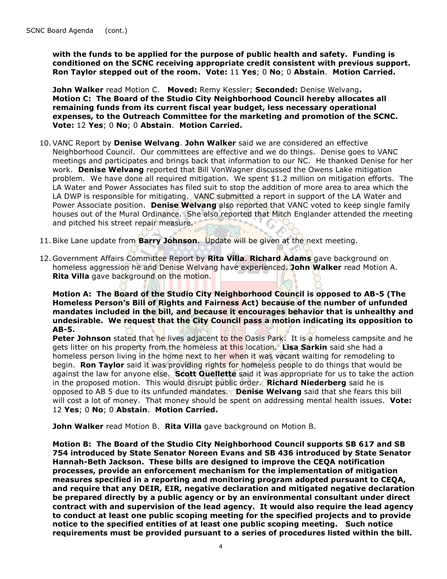**with the funds to be applied for the purpose of public health and safety. Funding is conditioned on the SCNC receiving appropriate credit consistent with previous support. Ron Taylor stepped out of the room. Vote:** 11 **Yes**; 0 **No**; 0 **Abstain**. **Motion Carried.**

**John Walker** read Motion C. **Moved:** Remy Kessler; **Seconded:** Denise Welvang**. Motion C: The Board of the Studio City Neighborhood Council hereby allocates all remaining funds from its current fiscal year budget, less necessary operational expenses, to the Outreach Committee for the marketing and promotion of the SCNC. Vote:** 12 **Yes**; 0 **No**; 0 **Abstain**. **Motion Carried.**

- 10.VANC Report by **Denise Welvang**. **John Walker** said we are considered an effective Neighborhood Council. Our committees are effective and we do things. Denise goes to VANC meetings and participates and brings back that information to our NC. He thanked Denise for her work. **Denise Welvang** reported that Bill VonWagner discussed the Owens Lake mitigation problem. We have done all required mitigation. We spent \$1.2 million on mitigation efforts. The LA Water and Power Associates has filed suit to stop the addition of more area to area which the LA DWP is responsible for mitigating. VANC submitted a report in support of the LA Water and Power Associate position. **Denise Welvang** also reported that VANC voted to keep single family houses out of the Mural Ordinance. She also reported that Mitch Englander attended the meeting and pitched his street repair measure.
- 11.Bike Lane update from **Barry Johnson**. Update will be given at the next meeting.
- 12. Government Affairs Committee Report by **Rita Villa**. **Richard Adams** gave background on homeless aggression he and Denise Welvang have experienced. **John Walker** read Motion A. **Rita Villa** gave background on the motion.

**Motion A: The Board of the Studio City Neighborhood Council is opposed to AB-5 (The Homeless Person's Bill of Rights and Fairness Act) because of the number of unfunded mandates included in the bill, and because it encourages behavior that is unhealthy and undesirable. We request that the City Council pass a motion indicating its opposition to AB-5.**

**Peter Johnson** stated that he lives adjacent to the Oasis Park. It is a homeless campsite and he gets litter on his property from the homeless at this location. **Lisa Sarkin** said she had a homeless person living in the home next to her when it was vacant waiting for remodeling to begin. **Ron Taylor** said it was providing rights for homeless people to do things that would be against the law for anyone else. **Scott Ouellette** said it was appropriate for us to take the action in the proposed motion. This would disrupt public order. **Richard Niederberg** said he is opposed to AB 5 due to its unfunded mandates. **Denise Welvang** said that she fears this bill will cost a lot of money. That money should be spent on addressing mental health issues. **Vote:**  12 **Yes**; 0 **No**; 0 **Abstain**. **Motion Carried.**

**John Walker** read Motion B. **Rita Villa** gave background on Motion B.

**Motion B: The Board of the Studio City Neighborhood Council supports SB 617 and SB 754 introduced by State Senator Noreen Evans and SB 436 introduced by State Senator Hannah-Beth Jackson. These bills are designed to improve the CEQA notification processes, provide an enforcement mechanism for the implementation of mitigation measures specified in a reporting and monitoring program adopted pursuant to CEQA, and require that any DEIR, EIR, negative declaration and mitigated negative declaration be prepared directly by a public agency or by an environmental consultant under direct contract with and supervision of the lead agency. It would also require the lead agency to conduct at least one public scoping meeting for the specified projects and to provide notice to the specified entities of at least one public scoping meeting. Such notice requirements must be provided pursuant to a series of procedures listed within the bill.**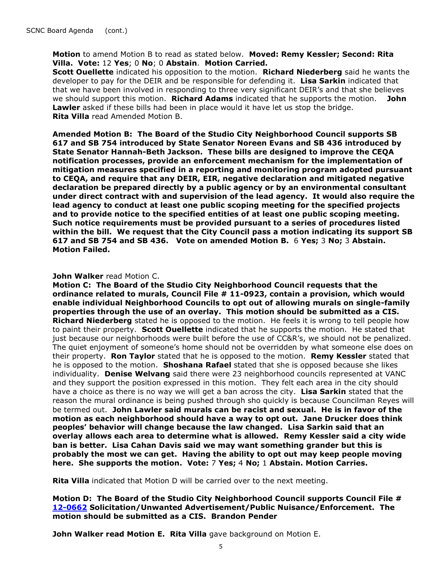**Motion** to amend Motion B to read as stated below. **Moved: Remy Kessler; Second: Rita Villa. Vote:** 12 **Yes**; 0 **No**; 0 **Abstain**. **Motion Carried.** 

**Scott Ouellette** indicated his opposition to the motion. **Richard Niederberg** said he wants the developer to pay for the DEIR and be responsible for defending it. **Lisa Sarkin** indicated that that we have been involved in responding to three very significant DEIR's and that she believes we should support this motion. **Richard Adams** indicated that he supports the motion. **John Lawler** asked if these bills had been in place would it have let us stop the bridge. **Rita Villa** read Amended Motion B.

**Amended Motion B: The Board of the Studio City Neighborhood Council supports SB 617 and SB 754 introduced by State Senator Noreen Evans and SB 436 introduced by State Senator Hannah-Beth Jackson. These bills are designed to improve the CEQA notification processes, provide an enforcement mechanism for the implementation of mitigation measures specified in a reporting and monitoring program adopted pursuant to CEQA, and require that any DEIR, EIR, negative declaration and mitigated negative declaration be prepared directly by a public agency or by an environmental consultant under direct contract with and supervision of the lead agency. It would also require the lead agency to conduct at least one public scoping meeting for the specified projects and to provide notice to the specified entities of at least one public scoping meeting. Such notice requirements must be provided pursuant to a series of procedures listed within the bill. We request that the City Council pass a motion indicating its support SB 617 and SB 754 and SB 436. Vote on amended Motion B.** 6 **Yes;** 3 **No;** 3 **Abstain. Motion Failed.**

## **John Walker** read Motion C.

**Motion C: The Board of the Studio City Neighborhood Council requests that the ordinance related to murals, Council File # 11-0923, contain a provision, which would enable individual Neighborhood Councils to opt out of allowing murals on single-family properties through the use of an overlay. This motion should be submitted as a CIS. Richard Niederberg** stated he is opposed to the motion. He feels it is wrong to tell people how to paint their property. **Scott Ouellette** indicated that he supports the motion. He stated that just because our neighborhoods were built before the use of CC&R's, we should not be penalized. The quiet enjoyment of someone's home should not be overridden by what someone else does on their property. **Ron Taylor** stated that he is opposed to the motion. **Remy Kessler** stated that he is opposed to the motion. **Shoshana Rafael** stated that she is opposed because she likes individuality. **Denise Welvang** said there were 23 neighborhood councils represented at VANC and they support the position expressed in this motion. They felt each area in the city should have a choice as there is no way we will get a ban across the city. **Lisa Sarkin** stated that the reason the mural ordinance is being pushed through sho quickly is because Councilman Reyes will be termed out. **John Lawler said murals can be racist and sexual. He is in favor of the motion as each neighborhood should have a way to opt out. Jane Drucker does think peoples' behavior will change because the law changed. Lisa Sarkin said that an overlay allows each area to determine what is allowed. Remy Kessler said a city wide ban is better. Lisa Cahan Davis said we may want something grander but this is probably the most we can get. Having the ability to opt out may keep people moving here. She supports the motion. Vote:** 7 **Yes;** 4 **No;** 1 **Abstain. Motion Carries.**

**Rita Villa** indicated that Motion D will be carried over to the next meeting.

**Motion D: The Board of the Studio City Neighborhood Council supports Council File # [12-0662](http://cityclerk.lacity.org/lacityclerkconnect/index.cfm?fa=ccfi.viewrecord&cfnumber=12-0662) Solicitation/Unwanted Advertisement/Public Nuisance/Enforcement. The motion should be submitted as a CIS. Brandon Pender**

**John Walker read Motion E. Rita Villa** gave background on Motion E.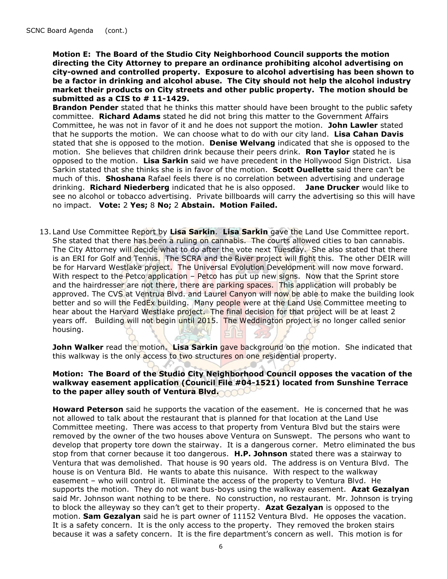**Motion E: The Board of the Studio City Neighborhood Council supports the motion directing the City Attorney to prepare an ordinance prohibiting alcohol advertising on city-owned and controlled property. Exposure to alcohol advertising has been shown to be a factor in drinking and alcohol abuse. The City should not help the alcohol industry market their products on City streets and other public property. The motion should be submitted as a CIS to # 11-1429.** 

**Brandon Pender** stated that he thinks this matter should have been brought to the public safety committee. **Richard Adams** stated he did not bring this matter to the Government Affairs Committee, he was not in favor of it and he does not support the motion. **John Lawler** stated that he supports the motion. We can choose what to do with our city land. **Lisa Cahan Davis**  stated that she is opposed to the motion. **Denise Welvang** indicated that she is opposed to the motion. She believes that children drink because their peers drink. **Ron Taylor** stated he is opposed to the motion. **Lisa Sarkin** said we have precedent in the Hollywood Sign District. Lisa Sarkin stated that she thinks she is in favor of the motion. **Scott Ouellette** said there can't be much of this. **Shoshana** Rafael feels there is no correlation between advertising and underage drinking. **Richard Niederberg** indicated that he is also opposed. **Jane Drucker** would like to see no alcohol or tobacco advertising. Private billboards will carry the advertising so this will have no impact. **Vote:** 2 **Yes;** 8 **No;** 2 **Abstain. Motion Failed.** 

13. Land Use Committee Report by **Lisa Sarkin**. **Lisa Sarkin** gave the Land Use Committee report. She stated that there has been a ruling on cannabis. The courts allowed cities to ban cannabis. The City Attorney will decide what to do after the vote next Tuesday. She also stated that there is an ERI for Golf and Tennis. The SCRA and the River project will fight this. The other DEIR will be for Harvard Westlake project. The Universal Evolution Development will now move forward. With respect to the Petco application – Petco has put up new signs. Now that the Sprint store and the hairdresser are not there, there are parking spaces. This application will probably be approved. The CVS at Ventrua Blvd. and Laurel Canyon will now be able to make the building look better and so will the FedEx building. Many people were at the Land Use Committee meeting to hear about the Harvard Westlake project. The final decision for that project will be at least 2 years off. Building will not begin until 2015. The Weddington project is no longer called senior housing.

**John Walker** read the motion. Lisa Sarkin gave background on the motion. She indicated that this walkway is the only access to two structures on one residential property.

## **Motion: The Board of the Studio City Neighborhood Council opposes the vacation of the walkway easement application (Council File #04-1521) located from Sunshine Terrace to the paper alley south of Ventura Blvd.**

**Howard Peterson** said he supports the vacation of the easement. He is concerned that he was not allowed to talk about the restaurant that is planned for that location at the Land Use Committee meeting. There was access to that property from Ventura Blvd but the stairs were removed by the owner of the two houses above Ventura on Sunswept. The persons who want to develop that property tore down the stairway. It is a dangerous corner. Metro eliminated the bus stop from that corner because it too dangerous. **H.P. Johnson** stated there was a stairway to Ventura that was demolished. That house is 90 years old. The address is on Ventura Blvd. The house is on Ventura Bld. He wants to abate this nuisance. With respect to the walkway easement – who will control it. Eliminate the access of the property to Ventura Blvd. He supports the motion. They do not want bus-boys using the walkway easement. **Azat Gezalyan** said Mr. Johnson want nothing to be there. No construction, no restaurant. Mr. Johnson is trying to block the alleyway so they can't get to their property. **Azat Gezalyan** is opposed to the motion. **Sam Gezalyan** said he is part owner of 11152 Ventura Blvd. He opposes the vacation. It is a safety concern. It is the only access to the property. They removed the broken stairs because it was a safety concern. It is the fire department's concern as well. This motion is for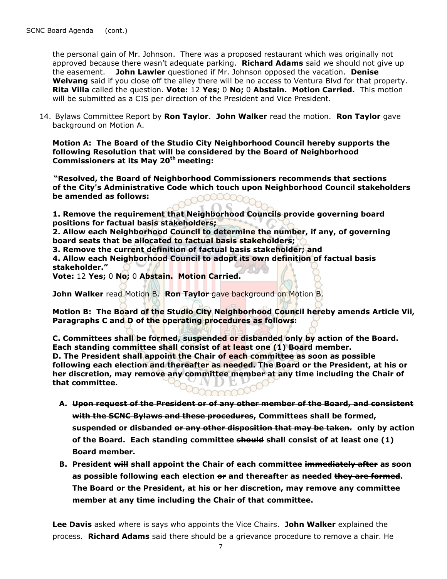the personal gain of Mr. Johnson. There was a proposed restaurant which was originally not approved because there wasn't adequate parking. **Richard Adams** said we should not give up the easement. **John Lawler** questioned if Mr. Johnson opposed the vacation. **Denise Welvang** said if you close off the alley there will be no access to Ventura Blvd for that property. **Rita Villa** called the question. **Vote:** 12 **Yes;** 0 **No;** 0 **Abstain. Motion Carried.** This motion will be submitted as a CIS per direction of the President and Vice President.

14. Bylaws Committee Report by **Ron Taylor**. **John Walker** read the motion. **Ron Taylor** gave background on Motion A.

**Motion A: The Board of the Studio City Neighborhood Council hereby supports the following Resolution that will be considered by the Board of Neighborhood Commissioners at its May 20th meeting:**

 **"Resolved, the Board of Neighborhood Commissioners recommends that sections of the City's Administrative Code which touch upon Neighborhood Council stakeholders be amended as follows:**

**1. Remove the requirement that Neighborhood Councils provide governing board positions for factual basis stakeholders;**

**2. Allow each Neighborhood Council to determine the number, if any, of governing board seats that be allocated to factual basis stakeholders;**

**3. Remove the current definition of factual basis stakeholder; and** 

**4. Allow each Neighborhood Council to adopt its own definition of factual basis stakeholder."** 

**Vote:** 12 **Yes;** 0 **No;** 0 **Abstain. Motion Carried.** 

**John Walker** read Motion B. **Ron Taylor** gave background on Motion B.

**Motion B: The Board of the Studio City Neighborhood Council hereby amends Article Vii, Paragraphs C and D of the operating procedures as follows:**

**C. Committees shall be formed, suspended or disbanded only by action of the Board. Each standing committee shall consist of at least one (1) Board member. D. The President shall appoint the Chair of each committee as soon as possible following each election and thereafter as needed. The Board or the President, at his or her discretion, may remove any committee member at any time including the Chair of that committee.**

mmmmmmmmmmm

- **A. Upon request of the President or of any other member of the Board, and consistent with the SCNC Bylaws and these procedures, Committees shall be formed, suspended or disbanded or any other disposition that may be taken. only by action of the Board. Each standing committee should shall consist of at least one (1) Board member.**
- **B. President will shall appoint the Chair of each committee immediately after as soon as possible following each election or and thereafter as needed they are formed. The Board or the President, at his or her discretion, may remove any committee member at any time including the Chair of that committee.**

**Lee Davis** asked where is says who appoints the Vice Chairs. **John Walker** explained the process. **Richard Adams** said there should be a grievance procedure to remove a chair. He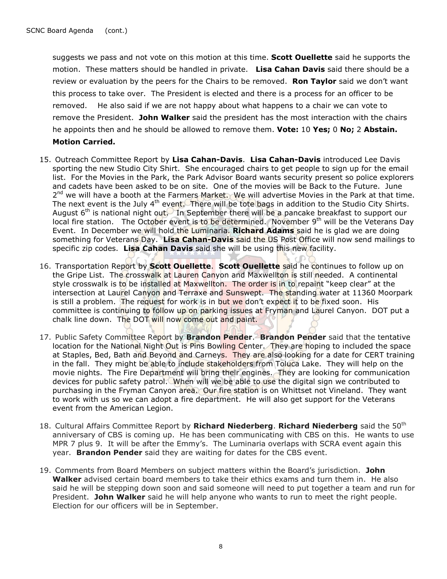suggests we pass and not vote on this motion at this time. **Scott Ouellette** said he supports the motion. These matters should be handled in private. **Lisa Cahan Davis** said there should be a review or evaluation by the peers for the Chairs to be removed. **Ron Taylor** said we don't want this process to take over. The President is elected and there is a process for an officer to be removed. He also said if we are not happy about what happens to a chair we can vote to remove the President. **John Walker** said the president has the most interaction with the chairs he appoints then and he should be allowed to remove them. **Vote:** 10 **Yes;** 0 **No;** 2 **Abstain. Motion Carried.**

- 15. Outreach Committee Report by **Lisa Cahan-Davis**. **Lisa Cahan-Davis** introduced Lee Davis sporting the new Studio City Shirt. She encouraged chairs to get people to sign up for the email list. For the Movies in the Park, the Park Advisor Board wants security present so police explorers and cadets have been asked to be on site. One of the movies will be Back to the Future. June 2<sup>nd</sup> we will have a booth at the Farmers Market. We will advertise Movies in the Park at that time. The next event is the July 4<sup>th</sup> event. There will be tote bags in addition to the Studio City Shirts. August  $6<sup>th</sup>$  is national night out. In September there will be a pancake breakfast to support our local fire station. The October event is to be determined. November 9<sup>th</sup> will be the Veterans Day Event. In December we will hold the Luminaria. **Richard Adams** said he is glad we are doing something for Veterans Day. **Lisa Cahan-Davis** said the US Post Office will now send mailings to specific zip codes. **Lisa Cahan Davis** said she will be using this new facility.
- 16. Transportation Report by **Scott Ouellette**. **Scott Ouellette** said he continues to follow up on the Gripe List. The crosswalk at Lauren Canyon and Maxwellton is still needed. A continental style crosswalk is to be installed at Maxwellton. The order is in to repaint "keep clear" at the intersection at Laurel Canyon and Terraxe and Sunswept. The standing water at 11360 Moorpark is still a problem. The request for work is in but we don't expect it to be fixed soon. His committee is continuing to follow up on parking issues at Fryman and Laurel Canyon. DOT put a chalk line down. The DOT will now come out and paint.
- 17. Public Safety Committee Report by **Brandon Pender**. **Brandon Pender** said that the tentative location for the National Night Out is Pins Bowling Center. They are hoping to included the space at Staples, Bed, Bath and Beyond and Carneys. They are also looking for a date for CERT training in the fall. They might be able to include stakeholders from Toluca Lake. They will help on the movie nights. The Fire Department will bring their engines. They are looking for communication devices for public safety patrol. When will we be able to use the digital sign we contributed to purchasing in the Fryman Canyon area. Our fire station is on Whittset not Vineland. They want to work with us so we can adopt a fire department. He will also get support for the Veterans event from the American Legion.
- 18. Cultural Affairs Committee Report by **Richard Niederberg**. **Richard Niederberg** said the 50th anniversary of CBS is coming up. He has been communicating with CBS on this. He wants to use MPR 7 plus 9. It will be after the Emmy's.The Luminaria overlaps with SCRA event again this year. **Brandon Pender** said they are waiting for dates for the CBS event.
- 19. Comments from Board Members on subject matters within the Board's jurisdiction. **John Walker** advised certain board members to take their ethics exams and turn them in. He also said he will be stepping down soon and said someone will need to put together a team and run for President. **John Walker** said he will help anyone who wants to run to meet the right people. Election for our officers will be in September.